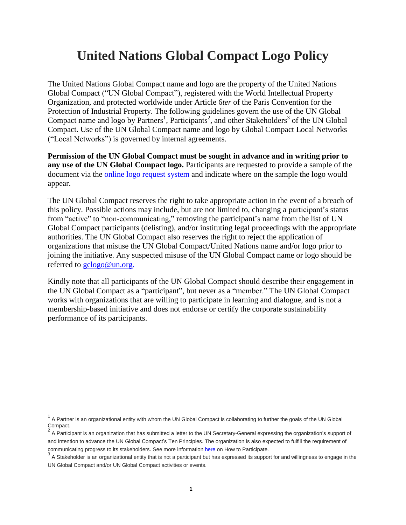# **United Nations Global Compact Logo Policy**

The United Nations Global Compact name and logo are the property of the United Nations Global Compact ("UN Global Compact"), registered with the World Intellectual Property Organization, and protected worldwide under Article 6*ter* of the Paris Convention for the Protection of Industrial Property. The following guidelines govern the use of the UN Global Compact name and logo by Partners<sup>1</sup>, Participants<sup>2</sup>, and other Stakeholders<sup>3</sup> of the UN Global Compact. Use of the UN Global Compact name and logo by Global Compact Local Networks ("Local Networks") is governed by internal agreements.

**Permission of the UN Global Compact must be sought in advance and in writing prior to any use of the UN Global Compact logo.** Participants are requested to provide a sample of the document via the online logo [request](http://unglobalcompact.org/login/) system and indicate where on the sample the logo would appear.

The UN Global Compact reserves the right to take appropriate action in the event of a breach of this policy. Possible actions may include, but are not limited to, changing a participant's status from "active" to "non-communicating," removing the participant's name from the list of UN Global Compact participants (delisting), and/or instituting legal proceedings with the appropriate authorities. The UN Global Compact also reserves the right to reject the application of organizations that misuse the UN Global Compact/United Nations name and/or logo prior to joining the initiative. Any suspected misuse of the UN Global Compact name or logo should be referred to [gclogo@un.org.](mailto:gclogo@un.org)

Kindly note that all participants of the UN Global Compact should describe their engagement in the UN Global Compact as a "participant", but never as a "member." The UN Global Compact works with organizations that are willing to participate in learning and dialogue, and is not a membership-based initiative and does not endorse or certify the corporate sustainability performance of its participants.

 $\overline{a}$ 

<sup>1</sup> A Partner is an organizational entity with whom the UN Global Compact is collaborating to further the goals of the UN Global Compact.

 $^2$  A Participant is an organization that has submitted a letter to the UN Secretary-General expressing the organization's support of and intention to advance the UN Global Compact's Ten Principles. The organization is also expected to fulfill the requirement of communicating progress to its stakeholders. See more information [here](http://www.unglobalcompact.org/HowToParticipate/index.html) on How to Participate.

 $^3$  A Stakeholder is an organizational entity that is not a participant but has expressed its support for and willingness to engage in the UN Global Compact and/or UN Global Compact activities or events.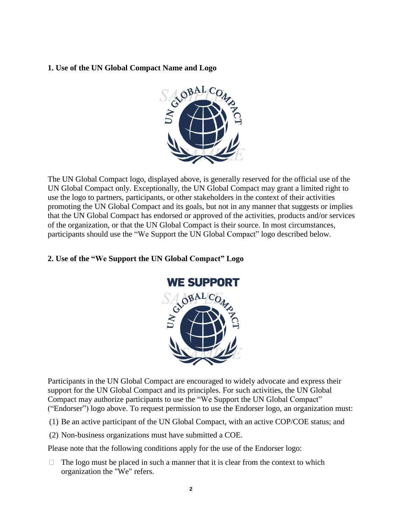## **1. Use of the UN Global Compact Name and Logo**



The UN Global Compact logo, displayed above, is generally reserved for the official use of the UN Global Compact only. Exceptionally, the UN Global Compact may grant a limited right to use the logo to partners, participants, or other stakeholders in the context of their activities promoting the UN Global Compact and its goals, but not in any manner that suggests or implies that the UN Global Compact has endorsed or approved of the activities, products and/or services of the organization, or that the UN Global Compact is their source. In most circumstances, participants should use the "We Support the UN Global Compact" logo described below.

#### **2. Use of the "We Support the UN Global Compact" Logo**



Participants in the UN Global Compact are encouraged to widely advocate and express their support for the UN Global Compact and its principles. For such activities, the UN Global Compact may authorize participants to use the "We Support the UN Global Compact" ("Endorser") logo above. To request permission to use the Endorser logo, an organization must:

- (1) Be an active participant of the UN Global Compact, with an active COP/COE status; and
- (2) Non-business organizations must have submitted a COE.

Please note that the following conditions apply for the use of the Endorser logo:

 $\Box$  The logo must be placed in such a manner that it is clear from the context to which organization the "We" refers.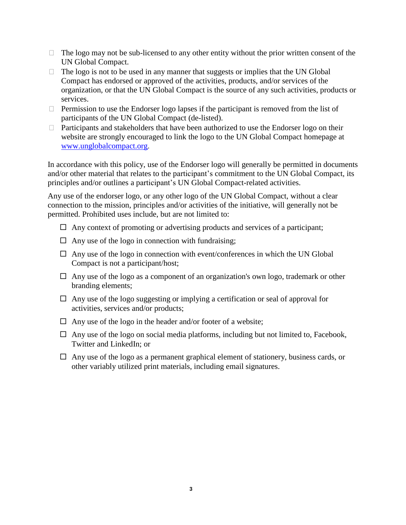- $\Box$  The logo may not be sub-licensed to any other entity without the prior written consent of the UN Global Compact.
- $\Box$  The logo is not to be used in any manner that suggests or implies that the UN Global Compact has endorsed or approved of the activities, products, and/or services of the organization, or that the UN Global Compact is the source of any such activities, products or services.
- $\Box$  Permission to use the Endorser logo lapses if the participant is removed from the list of participants of the UN Global Compact (de-listed).
- $\Box$  Participants and stakeholders that have been authorized to use the Endorser logo on their website are strongly encouraged to link the logo to the UN Global Compact homepage at [www.unglobalcompact.org.](http://www.unglobalcompact.org/)

In accordance with this policy, use of the Endorser logo will generally be permitted in documents and/or other material that relates to the participant's commitment to the UN Global Compact, its principles and/or outlines a participant's UN Global Compact-related activities.

Any use of the endorser logo, or any other logo of the UN Global Compact, without a clear connection to the mission, principles and/or activities of the initiative, will generally not be permitted. Prohibited uses include, but are not limited to:

- $\Box$  Any context of promoting or advertising products and services of a participant;
- $\Box$  Any use of the logo in connection with fundraising;
- $\Box$  Any use of the logo in connection with event/conferences in which the UN Global Compact is not a participant/host;
- $\Box$  Any use of the logo as a component of an organization's own logo, trademark or other branding elements;
- $\Box$  Any use of the logo suggesting or implying a certification or seal of approval for activities, services and/or products;
- $\Box$  Any use of the logo in the header and/or footer of a website;
- $\Box$  Any use of the logo on social media platforms, including but not limited to, Facebook, Twitter and LinkedIn; or
- $\Box$  Any use of the logo as a permanent graphical element of stationery, business cards, or other variably utilized print materials, including email signatures.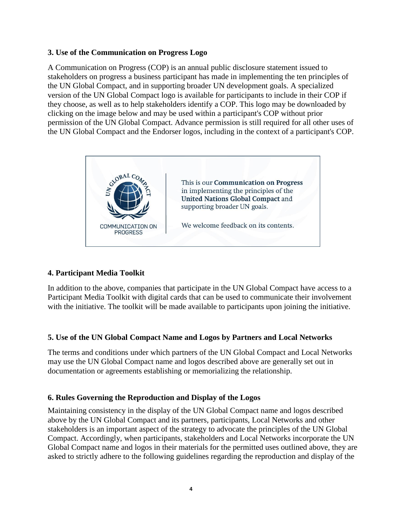#### **3. Use of the Communication on Progress Logo**

A Communication on Progress (COP) is an annual public disclosure statement issued to stakeholders on progress a business participant has made in implementing the ten principles of the UN Global Compact, and in supporting broader UN development goals. A specialized version of the UN Global Compact logo is available for participants to include in their COP if they choose, as well as to help stakeholders identify a COP. This logo may be downloaded by clicking on the image below and may be used within a participant's COP without prior permission of the UN Global Compact. Advance permission is still required for all other uses of the UN Global Compact and the Endorser logos, including in the context of a participant's COP.



## **4. Participant Media Toolkit**

In addition to the above, companies that participate in the UN Global Compact have access to a Participant Media Toolkit with digital cards that can be used to communicate their involvement with the initiative. The toolkit will be made available to participants upon joining the initiative.

#### **5. Use of the UN Global Compact Name and Logos by Partners and Local Networks**

The terms and conditions under which partners of the UN Global Compact and Local Networks may use the UN Global Compact name and logos described above are generally set out in documentation or agreements establishing or memorializing the relationship.

#### **6. Rules Governing the Reproduction and Display of the Logos**

Maintaining consistency in the display of the UN Global Compact name and logos described above by the UN Global Compact and its partners, participants, Local Networks and other stakeholders is an important aspect of the strategy to advocate the principles of the UN Global Compact. Accordingly, when participants, stakeholders and Local Networks incorporate the UN Global Compact name and logos in their materials for the permitted uses outlined above, they are asked to strictly adhere to the following guidelines regarding the reproduction and display of the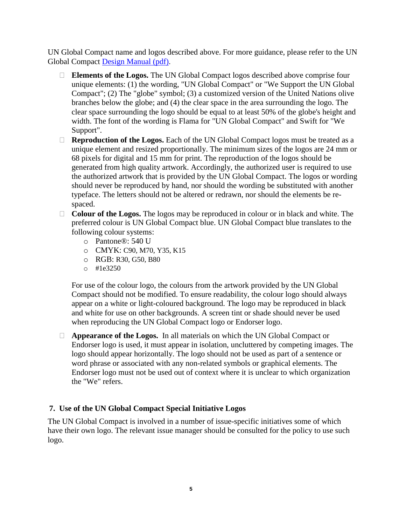UN Global Compact name and logos described above. For more guidance, please refer to the UN Global Compact Design [Manual](http://unglobalcompact.org/docs/about_the_gc/UNGC_Designmanual.pdf) (pdf).

- **Elements of the Logos.** The UN Global Compact logos described above comprise four unique elements: (1) the wording, "UN Global Compact" or "We Support the UN Global Compact"; (2) The "globe" symbol; (3) a customized version of the United Nations olive branches below the globe; and (4) the clear space in the area surrounding the logo. The clear space surrounding the logo should be equal to at least 50% of the globe's height and width. The font of the wording is Flama for "UN Global Compact" and Swift for "We Support".
- **Reproduction of the Logos.** Each of the UN Global Compact logos must be treated as a unique element and resized proportionally. The minimum sizes of the logos are 24 mm or 68 pixels for digital and 15 mm for print. The reproduction of the logos should be generated from high quality artwork. Accordingly, the authorized user is required to use the authorized artwork that is provided by the UN Global Compact. The logos or wording should never be reproduced by hand, nor should the wording be substituted with another typeface. The letters should not be altered or redrawn, nor should the elements be respaced.
- **Colour of the Logos.** The logos may be reproduced in colour or in black and white. The preferred colour is UN Global Compact blue. UN Global Compact blue translates to the following colour systems:
	- o Pantone®: 540 U
	- o CMYK: C90, M70, Y35, K15
	- o RGB: R30, G50, B80
	- o #1e3250

For use of the colour logo, the colours from the artwork provided by the UN Global Compact should not be modified. To ensure readability, the colour logo should always appear on a white or light-coloured background. The logo may be reproduced in black and white for use on other backgrounds. A screen tint or shade should never be used when reproducing the UN Global Compact logo or Endorser logo.

 **Appearance of the Logos.** In all materials on which the UN Global Compact or Endorser logo is used, it must appear in isolation, uncluttered by competing images. The logo should appear horizontally. The logo should not be used as part of a sentence or word phrase or associated with any non-related symbols or graphical elements. The Endorser logo must not be used out of context where it is unclear to which organization the "We" refers.

## **7. Use of the UN Global Compact Special Initiative Logos**

The UN Global Compact is involved in a number of issue-specific initiatives some of which have their own logo. The relevant issue manager should be consulted for the policy to use such logo.